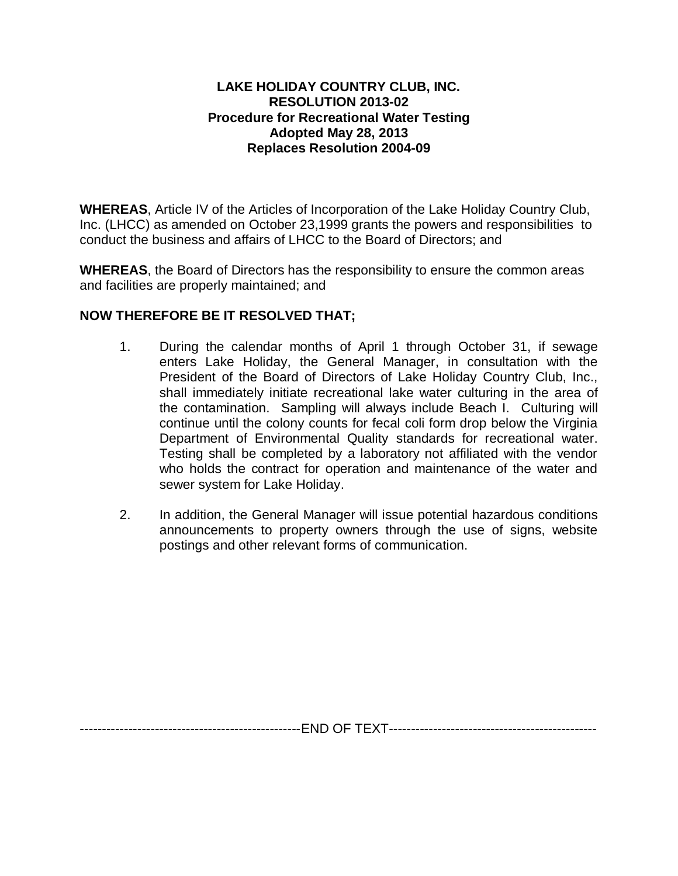## **LAKE HOLIDAY COUNTRY CLUB, INC. RESOLUTION 2013-02 Procedure for Recreational Water Testing Adopted May 28, 2013 Replaces Resolution 2004-09**

**WHEREAS**, Article IV of the Articles of Incorporation of the Lake Holiday Country Club, Inc. (LHCC) as amended on October 23,1999 grants the powers and responsibilities to conduct the business and affairs of LHCC to the Board of Directors; and

**WHEREAS**, the Board of Directors has the responsibility to ensure the common areas and facilities are properly maintained; and

## **NOW THEREFORE BE IT RESOLVED THAT;**

- 1. During the calendar months of April 1 through October 31, if sewage enters Lake Holiday, the General Manager, in consultation with the President of the Board of Directors of Lake Holiday Country Club, Inc., shall immediately initiate recreational lake water culturing in the area of the contamination. Sampling will always include Beach I. Culturing will continue until the colony counts for fecal coli form drop below the Virginia Department of Environmental Quality standards for recreational water. Testing shall be completed by a laboratory not affiliated with the vendor who holds the contract for operation and maintenance of the water and sewer system for Lake Holiday.
- 2. In addition, the General Manager will issue potential hazardous conditions announcements to property owners through the use of signs, website postings and other relevant forms of communication.

--------------------------------------------------END OF TEXT-----------------------------------------------